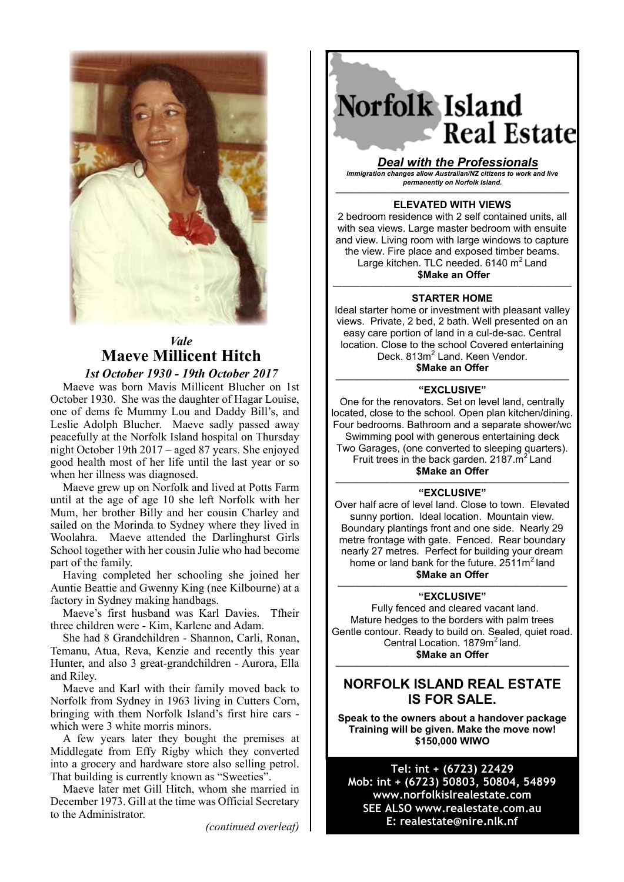

## *Vale* **Maeve Millicent Hitch**

*1st October 1930 - 19th October 2017*

Maeve was born Mavis Millicent Blucher on 1st October 1930. She was the daughter of Hagar Louise, one of dems fe Mummy Lou and Daddy Bill's, and Leslie Adolph Blucher. Maeve sadly passed away peacefully at the Norfolk Island hospital on Thursday night October 19th 2017 – aged 87 years. She enjoyed good health most of her life until the last year or so when her illness was diagnosed.

Maeve grew up on Norfolk and lived at Potts Farm until at the age of age 10 she left Norfolk with her Mum, her brother Billy and her cousin Charley and sailed on the Morinda to Sydney where they lived in Woolahra. Maeve attended the Darlinghurst Girls School together with her cousin Julie who had become part of the family.

Having completed her schooling she joined her Auntie Beattie and Gwenny King (nee Kilbourne) at a factory in Sydney making handbags.

Maeve's first husband was Karl Davies. Tfheir three children were - Kim, Karlene and Adam.

She had 8 Grandchildren - Shannon, Carli, Ronan, Temanu, Atua, Reva, Kenzie and recently this year Hunter, and also 3 great-grandchildren - Aurora, Ella and Riley.

Maeve and Karl with their family moved back to Norfolk from Sydney in 1963 living in Cutters Corn, bringing with them Norfolk Island's first hire cars which were 3 white morris minors.

A few years later they bought the premises at Middlegate from Effy Rigby which they converted into a grocery and hardware store also selling petrol. That building is currently known as "Sweeties".

Maeve later met Gill Hitch, whom she married in December 1973. Gill at the time was Official Secretary to the Administrator.

*(continued overleaf)*

# Norfolk Island **Real Estate**

*Deal with the Professionals Immigration changes allow Australian/NZ citizens to work and live permanently on Norfolk Island.*

#### —————————————————————————— **ELEVATED WITH VIEWS**

2 bedroom residence with 2 self contained units, all with sea views. Large master bedroom with ensuite and view. Living room with large windows to capture the view. Fire place and exposed timber beams. Large kitchen. TLC needed.  $6140 \text{ m}^2$  Land **\$Make an Offer**

#### ————–—————————————————————— **STARTER HOME**

Ideal starter home or investment with pleasant valley views. Private, 2 bed, 2 bath. Well presented on an easy care portion of land in a cul-de-sac. Central location. Close to the school Covered entertaining Deck. 813m<sup>2</sup> Land. Keen Vendor. **\$Make an Offer**

#### —————————————————————————— **"EXCLUSIVE"**

One for the renovators. Set on level land, centrally located, close to the school. Open plan kitchen/dining. Four bedrooms. Bathroom and a separate shower/wc Swimming pool with generous entertaining deck Two Garages, (one converted to sleeping quarters). Fruit trees in the back garden.  $2187 \cdot m^2$  Land

**\$Make an Offer**

#### —————————————————————————— **"EXCLUSIVE"**

Over half acre of level land. Close to town. Elevated sunny portion. Ideal location. Mountain view. Boundary plantings front and one side. Nearly 29 metre frontage with gate. Fenced. Rear boundary nearly 27 metres. Perfect for building your dream home or land bank for the future.  $2511m^2$  land **\$Make an Offer**

#### ——————–——————————————————— **"EXCLUSIVE"**

 Fully fenced and cleared vacant land. Mature hedges to the borders with palm trees Gentle contour. Ready to build on. Sealed, quiet road. Central Location. 1879m<sup>2</sup> land. **\$Make an Offer**

## **NORFOLK ISLAND REAL ESTATE IS FOR SALE.**

——————————————————————————

**Speak to the owners about a handover package Training will be given. Make the move now! \$150,000 WIWO**

### **Tel: int + (6723) 22429 Mob: int + (6723) 50803, 50804, 54899 www.norfolkislrealestate.com SEE ALSO www.realestate.com.au E: realestate@nire.nlk.nf**